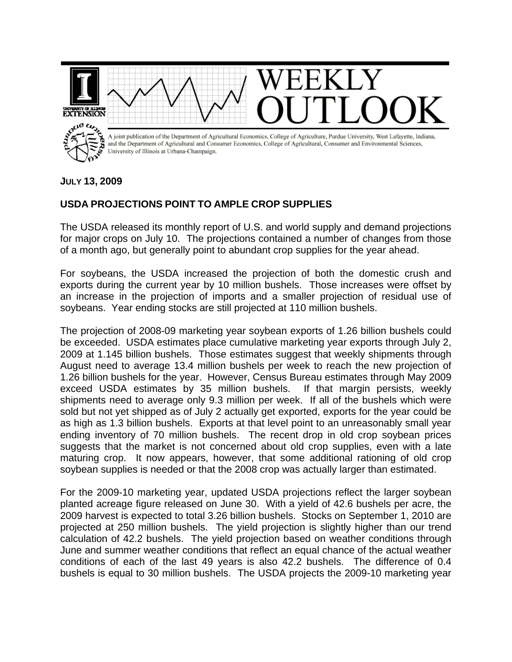

## **JULY 13, 2009**

## **USDA PROJECTIONS POINT TO AMPLE CROP SUPPLIES**

The USDA released its monthly report of U.S. and world supply and demand projections for major crops on July 10. The projections contained a number of changes from those of a month ago, but generally point to abundant crop supplies for the year ahead.

For soybeans, the USDA increased the projection of both the domestic crush and exports during the current year by 10 million bushels. Those increases were offset by an increase in the projection of imports and a smaller projection of residual use of soybeans. Year ending stocks are still projected at 110 million bushels.

The projection of 2008-09 marketing year soybean exports of 1.26 billion bushels could be exceeded. USDA estimates place cumulative marketing year exports through July 2, 2009 at 1.145 billion bushels. Those estimates suggest that weekly shipments through August need to average 13.4 million bushels per week to reach the new projection of 1.26 billion bushels for the year. However, Census Bureau estimates through May 2009 exceed USDA estimates by 35 million bushels. If that margin persists, weekly shipments need to average only 9.3 million per week. If all of the bushels which were sold but not yet shipped as of July 2 actually get exported, exports for the year could be as high as 1.3 billion bushels. Exports at that level point to an unreasonably small year ending inventory of 70 million bushels. The recent drop in old crop soybean prices suggests that the market is not concerned about old crop supplies, even with a late maturing crop. It now appears, however, that some additional rationing of old crop soybean supplies is needed or that the 2008 crop was actually larger than estimated.

For the 2009-10 marketing year, updated USDA projections reflect the larger soybean planted acreage figure released on June 30. With a yield of 42.6 bushels per acre, the 2009 harvest is expected to total 3.26 billion bushels. Stocks on September 1, 2010 are projected at 250 million bushels. The yield projection is slightly higher than our trend calculation of 42.2 bushels. The yield projection based on weather conditions through June and summer weather conditions that reflect an equal chance of the actual weather conditions of each of the last 49 years is also 42.2 bushels. The difference of 0.4 bushels is equal to 30 million bushels. The USDA projects the 2009-10 marketing year